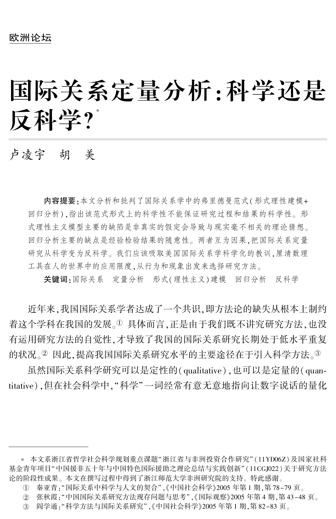# 国 际关系定量分析:科学还是 反科学?゛

# 卢凌宇 胡 美

内容提要:本文分析和批判了国际关系学中的弗里德曼范式(形式理性建模+ 回归分析),指出该范式形式上的科学性不能保证研究过程和结果的科学性。形 式理性主义模型主要的缺陷是非真实的假定会导致与现实毫不相关的理论猜想。 回归分析主要的缺点是经验检验结果的随意性。 两者互为因果,把国际关系定量 研究从科学变为反科学。 我们应该吸取美国国际关系学科学化的教训,厘清数理 工具在人的世界中的应用限度,从行为和现象出发来选择研究方法。

关键词:国际关系 定量分析 形式(理性主义)建模 回归分析 反科学

近年来,我国国际关系学者达成了一个共识,即方法论的缺失从根本上制约 着这个学科在我国的发展。1 具体而言,正是由于我们既不讲究研究方法,也没 有运用研究方法的自觉性,才导致了我国的国际关系研究长期处于低水平重复 的状况。2 因此,提高我国国际关系研究水平的主要途径在于引入科学方法。3

虽然国际关系科学研究可以是定性的(qualitative),也可以是定量的(quantitative),但在社会科学中,"科学"一词经常有意无意地指向让数字说话的量化

<sup>\*</sup> 本文系浙江省哲学社会科学规划重点课题"浙江省与非洲投资合作研究"(11YD06Z)及国家社科 基金青年项目"中国援非五十年与中国特色国际援助之理论总结与实践创新"(11CGJ022)关于研究方法 论的阶段性成果。 本文在撰写过程中得到了浙江师范大学非洲研究院的支持。 特此感谢。

①  秦亚青 : "国际关系中科学与人文的契合" ,《中国社会科学》2005 年第 1 期 ,第 78-79 页 。

② 张秋霞:"中国国际关系研究方法现存问题与思考",《国际观察》2005 年第 4 期,第 43–48 页。

 $(3)$ 阎学通:"科学方法与国际关系研究",《中国社会科学》2005年第1期,第 82-83 页。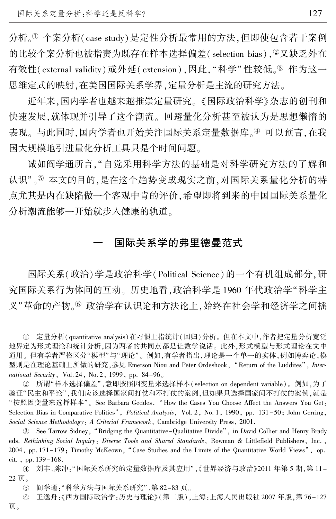分析。<sup>淤</sup> 个案分析(case study)是定性分析最常用的方法,但即使包含若干案例 的比较个案分析也被指责为既存在样本选择偏差(selection bias), 2又缺乏外在 有效性(external validity)或外延(extension),因此,"科学"性较低。<sup>3</sup>作为这一 思维定式的映射,在美国国际关系学界,定量分析是主流的研究方法。

近年来,国内学者也越来越推崇定量研究。 《国际政治科学》杂志的创刊和 快速发展,就体现并引导了这个潮流。 回避量化分析甚至被认为是思想懒惰的 表现。与此同时,国内学者也开始关注国际关系定量数据库。4 可以预言,在我 国大规模地引进量化分析工具只是个时间问题。

诚如阎学通所言,"自觉采用科学方法的基础是对科学研究方法的了解和 认识"。5 本文的目的,是在这个趋势变成现实之前,对国际关系量化分析的特 点尤其是内在缺陷做一个客观中肯的评价,希望即将到来的中国国际关系量化 分析潮流能够一开始就步入健康的轨道。

# 国际关系学的弗里德曼范式

国际关系(政治)学是政治科学(Political Science)的一个有机组成部分,研 究国际关系行为体间的互动。 历史地看,政治科学是 1960 年代政治学"科学主 义"革命的产物。<br>必然合学在认识论和方法论上,始终在社会学和经济学之间摇

 $\mathbb O$  定量分析( quantitative analysis)在习惯上指统计( 回归) 分析。但在本文中,作者把定量分析宽泛 地界定为形式理论和统计分析,因为两者的共同点都是让数学说话。 此外,形式模型与形式理论在文中 通用。但有学者严格区分"模型"与"理论"。例如,有学者指出,理论是一个单一的实体,例如博弈论,模 型则是在理论基础上所做的研究,参见 Emerson Niou and Peter Ordeshook, "Return of the Luddites", International Security, Vol. 24, No. 2, 1999, pp. 84-96。

② 所谓"样本选择偏差",意即按照因变量来选择样本( selection on dependent variable ) 。例如,为了 验证"民主和平论",我们应该选择国家间打仗和不打仗的案例,但如果只选择国家间不打仗的案例,就是 "按照因变量来选择样本"。 See Barbara Geddes, "How the Cases You Choose Affect the Answers You Get: Selection Bias in Comparative Politics", Political Analysis, Vol. 2, No. 1, 1990, pp. 131-50; John Gerring, Social Science Methodology: A Criterial Framework, Cambridge University Press, 2001.

<sup>3.</sup> See Tarrow Sidney, "Bridging the Quantitative–Qualitative Divide", in David Collier and Henry Brady eds. Rethinking Social Inquiry: Diverse Tools and Shared Standards, Rowman & Littlefield Publishers, Inc. , 2004, pp. 171-179; Timothy McKeown, "Case Studies and the Limits of the Quantitative World Views", op. cit. , pp. 139-168.

④ 刘丰、陈冲:"国际关系研究的定量数据库及其应用",《世界经济与政治》2011 年第 5 期,第 11-22 页。

 $(5)$ 阎学通:"科学方法与国际关系研究",第 82-83 页。

 $(6)$ 王逸舟:《西方国际政治学:历史与理论》(第二版),上海:上海人民出版社 2007 年版,第 76-127 页。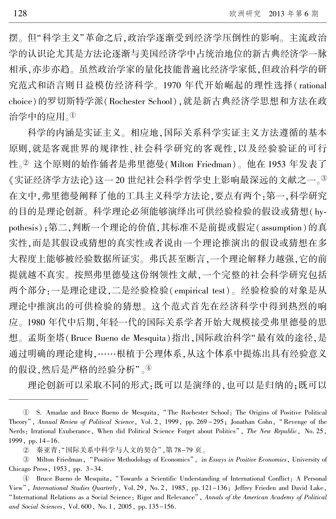摆。但"科学主义"革命之后,政治学逐渐受到经济学压倒性的影响。 主流政治 学的认识论尤其是方法论逐渐与美国经济学中占统治地位的新古典经济学一脉 相承,亦步亦趋。 虽然政治学家的量化技能普遍比经济学家低,但政治科学的研 究范式和语言则日益模仿经济科学。 1970 年代开始崛起的理性选择( rational choice)的罗切斯特学派(Rochester School),就是新古典经济学思想和方法在政 治学中的应用。<sup>淤</sup>

科学的内涵是实证主义。 相应地,国际关系科学实证主义方法遵循的基本 原则,就是客观世界的规律性、社会科学研究的客观性,以及经验验证的可行 性。<sup>2</sup> 这个原则的始作俑者是弗里德曼(Milton Friedman)。 他在 1953 年发表了 《实证经济学方法论》这一 20 世纪社会科学哲学史上影响最深远的文献之一。<sup>③</sup> 在文中,弗里德曼阐释了他的工具主义科学方法论,要点有两个:第一,科学研究 的目的是理论创新。科学理论必须能够演绎出可供经验检验的假设或猜想(hypothesis);第二,判断一个理论的价值,其标准不是前提或假定(assumption)的真 实性,而是其假设或猜想的真实性或者说由一个理论推演出的假设或猜想在多 大程度上能够被经验数据所证实。 弗氏甚至断言,一个理论解释力越强,它的前 提就越不真实。 按照弗里德曼这份纲领性文献,一个完整的社会科学研究包括 两个部分:一是理论建设,二是经验检验( empirical test)。 经验检验的对象是从 理论中推演出的可供检验的猜想。 这个范式首先在经济科学中得到热烈的响 应。 1980 年代中后期,年轻一代的国际关系学者开始大规模接受弗里德曼的思 想。 孟斯奎塔(Bruce Bueno de Mesquita)指出,国际政治科学"最有效的途径,是 通过明确的理论建构,……根植于公理体系,从这个体系中提炼出具有经验意义 的假设,然后是严格的经验分析"。4

理论创新可以采取不同的形式:既可以是演绎的,也可以是归纳的;既可以

淤 S. Amadae and Bruce Bueno de Mesquita, " The Rochester School: The Origins of Positive Political Theory<sup>"</sup>, Annual Review of Political Science, Vol. 2, 1999, pp. 269 - 295; Jonathan Cohn, "Revenge of the Nerds: Irrational Exuberance, When did Political Science Forget about Politics", The New Republic, No. 25, 1999, pp. 14-16.

② 秦亚青:"国际关系中科学与人文的契合",第 78-79 页。

<sup>3</sup> Milton Friedman, "Positive Methodology of Economics", in Essays in Positive Economics, University of Chicago Press, 1953, pp. 3-34.

榆 Bruce Bueno de Mesquita, " Towards a Scientific Understanding of International Conflict: A Personal View", International Studies Quarterly, Vol. 29, No. 2, 1985, pp. 121-136; Jeffrey Frieden and David Lake, "International Relations as a Social Science: Rigor and Relevance", Annals of the American Academy of Political and Social Sciences, Vol. 600, No. 1, 2005, pp. 135-156.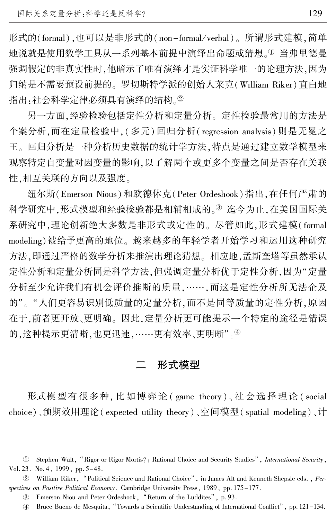形式的(formal),也可以是非形式的(non-formal/verbal)。所谓形式建模,简单 地说就是使用数学工具从一系列基本前提中演绎出命题或猜想。1 当弗里德曼 强调假定的非真实性时,他暗示了唯有演绎才是实证科学唯一的论理方法,因为 归纳是不需要预设前提的。 罗切斯特学派的创始人莱克(William Riker)直白地 指出·社会科学定律必须具有演绎的结构。2

另一方面,经验检验包括定性分析和定量分析。 定性检验最常用的方法是 个案分析,而在定量检验中,(多元) 回归分析( regression analysis) 则是无冕之 王。 回归分析是一种分析历史数据的统计学方法,特点是通过建立数学模型来 观察特定自变量对因变量的影响,以了解两个或更多个变量之间是否存在关联 性,相互关联的方向以及强度。

纽尔斯(Emerson Nious)和欧德休克(Peter Ordeshook)指出,在任何严肃的 科学研究中,形式模型和经验检验都是相辅相成的。3 迄今为止,在美国国际关 系研究中,理论创新绝大多数是非形式或定性的。 尽管如此,形式建模( formal modeling)被给予更高的地位。 越来越多的年轻学者开始学习和运用这种研究 方法,即通过严格的数学分析来推演出理论猜想。 相应地,孟斯奎塔等虽然承认 定性分析和定量分析同是科学方法,但强调定量分析优于定性分析,因为"定量 分析至少允许我们有机会评价推断的质量,……,而这是定性分析所无法企及 的"。"人们更容易识别低质量的定量分析,而不是同等质量的定性分析,原因 在于,前者更开放、更明确。 因此,定量分析更可能提示一个特定的途径是错误 的,这种提示更清晰,也更迅速,……更有效率、更明晰"。4

## 二 形式模型

形式模型有很多种, 比如博弈论 ( game theory)、 社 会 选 择 理 论 ( social choice)、预期效用理论( expected utility theory)、空间模型( spatial modeling)、计

<sup>1</sup> Stephen Walt, "Rigor or Rigor Mortis?: Rational Choice and Security Studies", International Security, Vol. 23, No. 4, 1999, pp. 5-48.

② William Riker, "Political Science and Rational Choice", in James Alt and Kenneth Shepsle eds. , Perspectives on Positive Political Economy, Cambridge University Press, 1989, pp. 175-177.

<sup>3)</sup> Emerson Niou and Peter Ordeshook, "Return of the Luddites", p. 93.

榆 Bruce Bueno de Mesquita, "Towards a Scientific Understanding of International Conflict冶, pp. 121-134.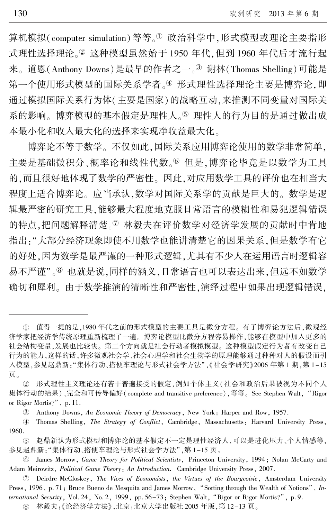算机模拟(computer simulation)等等。1 政治科学中,形式模型或理论主要指形 式理性选择理论。2 这种模型虽然始于 1950 年代,但到 1960 年代后才流行起 来。道恩(Anthony Downs)是最早的作者之一。<sup>3</sup> 谢林(Thomas Shelling)可能是 第一个使用形式模型的国际关系学者。4 形式理性选择理论主要是博弈论,即 通过模拟国际关系行为体(主要是国家)的战略互动,来推测不同变量对国际关 系的影响。博弈模型的基本假定是理性人。5 理性人的行为目的是通过做出成 本最小化和收入最大化的选择来实现净收益最大化。

博弈论不等于数学。 不仅如此,国际关系应用博弈论使用的数学非常简单, 主要是基础微积分、概率论和线性代数。<sup>6</sup>但是,博弈论毕竟是以数学为工具 的,而且很好地体现了数学的严密性。 因此,对应用数学工具的评价也在相当大 程度上适合博弈论。 应当承认,数学对国际关系学的贡献是巨大的。 数学是逻 辑最严密的研究工具,能够最大程度地克服日常语言的模糊性和易犯逻辑错误 的特点,把问题解释清楚。<sup>7</sup> 林毅夫在评价数学对经济学发展的贡献时中肯地 指出:"大部分经济现象即使不用数学也能讲清楚它的因果关系,但是数学有它 的好处,因为数学是最严谨的一种形式逻辑,尤其有不少人在运用语言时逻辑容 易不严谨"。<sup>8</sup> 也就是说,同样的涵义,日常语言也可以表达出来,但远不如数学 确切和犀利。 由于数学推演的清晰性和严密性,演绎过程中如果出现逻辑错误,

淤 值得一提的是,1980 年代之前的形式模型的主要工具是微分方程。 有了博弈论方法后,微观经 济学家把经济学传统原理重新梳理了一遍。 博弈论模型比微分方程容易操作,能够在模型中加入更多的 社会结构变量,发展也比较快。 第二个方向就是社会行动者模拟模型。 这种模型假定行为者有改变自己 行为的能力,这样的话,许多微观社会学、社会心理学和社会生物学的原理能够通过种种对人的假设而引 入模型,参见赵鼎新: "集体行动、搭便车理论与形式社会学方法",《社会学研究》2006 年第 1 期, 第 1-15 页。

于 形式理性主义理论还有若干普遍接受的假定,例如个体主义(社会和政治后果被视为不同个人 集体行动的结果)、完全和可传导偏好(complete and transitive preference),等等。 See Stephen Walt, "Rigor or Rigor Mortis?", p. 11.

<sup>3</sup> Anthony Downs, An Economic Theory of Democracy, New York: Harper and Row, 1957.

榆 Thomas Shelling, The Strategy of Conflict, Cambridge, Massachusetts: Harvard University Press, 1960.

虞 赵鼎新认为形式模型和博弈论的基本假定不一定是理性经济人,可以是进化压力、个人情感等, 参见赵鼎新: "集体行动、搭便车理论与形式社会学方法",第 1-15 页。

愚 James Morrow, Game Theory for Political Scientists, Princeton University, 1994; Nolan McCarty and Adam Meirowitz, Political Game Theory: An Introduction. Cambridge University Press, 2007.

舆 Deirdre McCloskey, The Vices of Economists, the Virtues of the Bourgeoisie, Amsterdam University Press, 1996, p. 71; Bruce Bueno de Mesquita and James Morrow, "Sorting through the Wealth of Notions", International Security, Vol. 24, No. 2, 1999, pp.  $56-73$ ; Stephen Walt, "Rigor or Rigor Mortis?", p. 9.

余 林毅夫:《论经济学方法》,北京:北京大学出版社 2005 年版,第 12-13 页。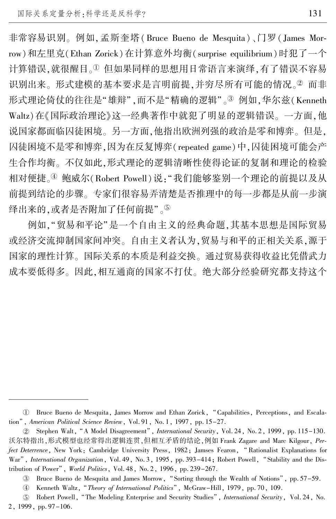非常容易识别。例如,孟斯奎塔(Bruce Bueno de Mesquita)、门罗(James Morrow)和左里克(Ethan Zorick)在计算意外均衡(surprise equilibrium)时犯了一个 计算错误,就很醒目。1但如果同样的思想用日常语言来演绎,有了错误不容易 识别出来。形式建模的基本要求是言明前提,并穷尽所有可能的情况。2 而非 形式理论倚仗的往往是"雄辩",而不是"精确的逻辑"。<sup>3</sup>例如,华尔兹(Kenneth Waltz)在《国际政治理论》这一经典著作中就犯了明显的逻辑错误。 一方面,他 说国家都面临囚徒困境。 另一方面,他指出欧洲列强的政治是零和博弈。 但是, 囚徒困境不是零和博弈,因为在反复博弈(repeated game)中,囚徒困境可能会产 生合作均衡。 不仅如此,形式理论的逻辑清晰性使得论证的复制和理论的检验 相对便捷。4 鲍威尔(Robert Powell)说:"我们能够鉴别一个理论的前提以及从 前提到结论的步骤。 专家们很容易弄清楚是否推理中的每一步都是从前一步演 绎出来的,或者是否附加了任何前提"。⑤

例如,"贸易和平论"是一个自由主义的经典命题,其基本思想是国际贸易 或经济交流抑制国家间冲突。 自由主义者认为,贸易与和平的正相关关系,源于 国家的理性计算。 国际关系的本质是利益交换。 通过贸易获得收益比凭借武力 成本要低得多。 因此,相互通商的国家不打仗。 绝大部分经验研究都支持这个

U Bruce Bueno de Mesquita, James Morrow and Ethan Zorick, "Capabilities, Perceptions, and Escalation", American Political Science Review, Vol. 91, No. 1, 1997, pp. 15-27.

② Stephen Walt, "A Model Disagreement", *International Security*, Vol. 24, No. 2, 1999, pp. 115–130. 沃尔特指出,形式模型也经常得出逻辑连贯,但相互矛盾的结论,例如 Frank Zagare and Marc Kilgour, Perfect Deterrence, New York: Cambridge University Press, 1982; Jamses Fearon, "Rationalist Explanations for War", International Organization, Vol. 49, No. 3, 1995, pp. 393-414; Robert Powell, "Stability and the Distribution of Power", World Politics, Vol. 48, No. 2, 1996, pp. 239-267.

<sup>3)</sup> Bruce Bueno de Mesquita and James Morrow, "Sorting through the Wealth of Notions", pp. 57–59.

 $\circled{4}$ Kenneth Waltz, "Theory of International Politics", McGraw-Hill, 1979, pp. 70, 109.

 $(5)$ Robert Powell, "The Modeling Enterprise and Security Studies", International Security, Vol. 24, No. 2, 1999, pp. 97-106.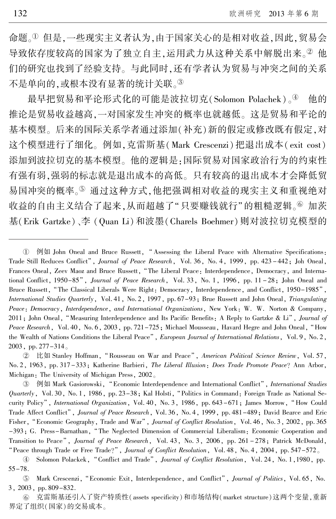命题。<sup>淤</sup> 但是,一些现实主义者认为,由于国家关心的是相对收益,因此,贸易会 导致依存度较高的国家为了独立自主,运用武力从这种关系中解脱出来。2 他 们的研究也找到了经验支持。 与此同时,还有学者认为贸易与冲突之间的关系 不是单向的,或根本没有显著的统计关联。3

最早把贸易和平论形式化的可能是波拉切克(Solomon Polachek)。 $\Phi$  他的 推论是贸易收益越高,一对国家发生冲突的概率也就越低。 这是贸易和平论的 基本模型。 后来的国际关系学者通过添加(补充)新的假定或修改既有假定,对 这个模型进行了细化。 例如,克雷斯基(Mark Crescenzi)把退出成本( exit cost) 添加到波拉切克的基本模型。 他的逻辑是:国际贸易对国家政治行为的约束性 有强有弱,强弱的标志就是退出成本的高低。 只有较高的退出成本才会降低贸 易国冲突的概率。5 通过这种方式,他把强调相对收益的现实主义和重视绝对 收益的自由主义结合了起来,从而超越了"只要赚钱就行"的粗糙逻辑。⑥ 加茨 基(Erik Gartzke)、李 (Quan Li)和波墨(Charels Boehmer)则对波拉切克模型的

③ 例如 Mark Gasiorowski, "Economic Interdependence and International Conflict", International Studies  $Quarterly$ , Vol. 30, No. 1, 1986, pp.  $23-38$ ; Kal Holsti, "Politics in Command: Foreign Trade as National Security Policy", International Organization, Vol. 40, No. 3, 1986, pp. 643-671; James Morrow, "How Could Trade Affect Conflict", Journal of Peace Research, Vol. 36, No. 4, 1999, pp. 481-489; David Bearce and Eric Fisher, "Economic Geography, Trade and War", Journal of Conflict Resolution, Vol. 46, No. 3, 2002, pp. 365 -393; G. Press-Barnathan, "The Neglected Dimension of Commercial Liberalism: Economic Cooperation and Transition to Peace", Journal of Peace Research, Vol. 43, No. 3, 2006, pp. 261 - 278; Patrick McDonald, "Peace through Trade or Free Trade?", Journal of Conflict Resolution, Vol. 48, No. 4, 2004, pp.  $547-572<sub>o</sub>$ 

**4** Solomon Polackek, "Conflict and Trade", Journal of Conflict Resolution, Vol. 24, No. 1, 1980, pp. 55-78.

 $(5)$ Mark Crescenzi, "Economic Exit, Interdependence, and Conflict", Journal of Politics, Vol. 65, No. 3, 2003, pp. 809-832.

(6) 克雷斯基还引入了资产特质性(assets specificity)和市场结构(market structure)这两个变量,重新 界定了组织(国家)的交易成本。

① 例如 John Oneal and Bruce Russett, "Assessing the Liberal Peace with Alternative Specifications: Trade Still Reduces Conflict", Journal of Peace Research, Vol. 36, No. 4, 1999, pp. 423-442; Joh Oneal, Frances Oneal, Zeev Maoz and Bruce Russett, "The Liberal Peace: Interdependence, Democracy, and International Conflict, 1950-85", Journal of Peace Research, Vol. 33, No. 1, 1996, pp. 11-28; John Oneal and Bruce Russett, "The Classical Liberals Were Right: Democracy, Interdependence, and Conflict, 1950-1985", International Studies Quarterly, Vol. 41, No. 2, 1997, pp. 67-93; Brue Russett and John Oneal, Triangulating Peace: Democracy, Interdependence, and International Organizations, New York: W. W. Norton & Company, 2011; John Oneal, "Measuring Interdependence and Its Pacific Benefits: A Reply to Gartzke & Li", Journal of Peace Research, Vol. 40, No. 6, 2003, pp. 721-725; Michael Mousseau, Havard Hegre and John Oneal, "How the Wealth of Nations Conditions the Liberal Peace", European Journal of International Relations, Vol. 9, No. 2, 2003, pp. 277-314。

② 比如 Stanley Hoffman, "Rousseau on War and Peace", American Political Science Review, Vol. 57, No. 2, 1963, pp. 317 -333; Katherine Barbieri, The Liberal Illusion: Does Trade Promote Peace? Ann Arbor, Michigan: The University of Michigan Press, 2002。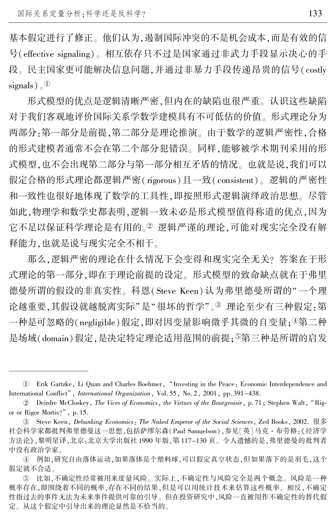基本假定进行了修正。 他们认为,遏制国际冲突的不是机会成本,而是有效的信 号(effective signaling)。 相互依存只不过是国家通过非武力手段显示决心的手 段。 民主国家更可能解决信息问题,并通过非暴力手段传递昂贵的信号( costly signals) $\sim$ <sup>①</sup>

形式模型的优点是逻辑清晰严密,但内在的缺陷也很严重。 认识这些缺陷 对于我们客观地评价国际关系学数学建模具有不可低估的价值。 形式理论分为 两部分:第一部分是前提,第二部分是理论推演。 由于数学的逻辑严密性,合格 的形式建模者通常不会在第二个部分犯错误。 同样,能够被学术期刊采用的形 式模型,也不会出现第二部分与第一部分相互矛盾的情况。 也就是说,我们可以 假定合格的形式理论都逻辑严密( rigorous)且一致( consistent)。 逻辑的严密性 和一致性也很好地体现了数学的工具性,即按照形式逻辑演绎政治思想。 尽管 如此,物理学和数学史都表明,逻辑一致未必是形式模型值得称道的优点,因为 它不足以保证科学理论是有用的。2 逻辑严谨的理论,可能对现实完全没有解 释能力,也就是说与现实完全不相干。

那么,逻辑严密的理论在什么情况下会变得和现实完全无关? 答案在于形 式理论的第一部分,即在于理论前提的设定。 形式模型的致命缺点就在于弗里 德曼所谓的假设的非真实性。 科恩( Steve Keen)认为弗里德曼所谓的"一个理 论越重要,其假设就越脱离实际"是"很坏的哲学"。3 理论至少有三种假定:第  $-\frac{1}{2}$ 种是可忽略的(negligible)假定,即对因变量影响微乎其微的自变量;4第二种 是场域(domain)假定,是决定特定理论适用范围的前提; ⑤第三种是所谓的启发

淤 Erik Gartzke, Li Quan and Charles Boehmer, "Investing in the Peace: Economic Interdependence and International Conflict", International Organization, Vol. 55, No. 2, 2001, pp. 391-438.

<sup>2</sup> Deirdre McCloskey, The Vices of Economics, the Virtues of the Bourgeoisie, p. 71; Stephen Walt, "Rigor or Rigor Mortis?", p. 15.

盂 Steve Keen, Debunking Economics: The Naked Emperor of the Social Sciences, Zed Books, 2002. 很多 社会科学家都批判弗里德曼这一思想,包括萨缪尔森(Paul Samuelson),参见[英]马克·布劳格:《经济学 方法论》,黎明星译,北京:北京大学出版社 1990 年版,第 117-130 页。 令人遗憾的是,弗里德曼的批判者 中没有政治学家。

榆 例如,研究自由落体运动,如果落体是个塑料球,可以假定真空状态,但如果落下的是羽毛,这个 假定就不合适。

虞 比如,不确定性经常被用来度量风险。 实际上,不确定性与风险完全是两个概念。 风险是一种 概率存在,即围绕着不同的概率,存在不同的结果,但是可以用统计技术来估算这些概率。 相反,不确定 性指过去的事件无法为未来事件提供可靠的引导。 但在投资研究中,风险一直被用作不确定性的替代假 定。 从这个假定中引导出来的理论显然是不恰当的。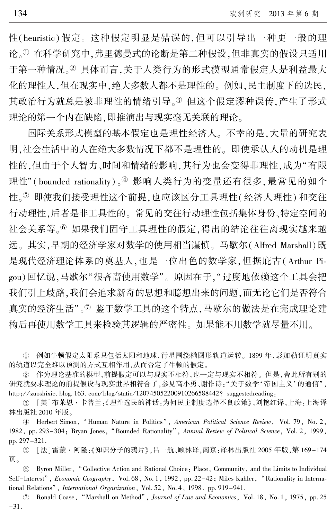性(heuristic)假定。 这种假定明显是错误的,但可以引导出一种更一般的理 论。<sup>淤</sup> 在科学研究中,弗里德曼式的论断是第二种假设,但非真实的假设只适用 于第一种情况。2 具体而言,关于人类行为的形式模型通常假定人是利益最大 化的理性人,但在现实中,绝大多数人都不是理性的。 例如,民主制度下的选民, 其政治行为就总是被非理性的情绪引导。3 但这个假定谬种误传,产生了形式 理论的第一个内在缺陷,即推演出与现实毫无关联的理论。

国际关系形式模型的基本假定也是理性经济人。 不幸的是,大量的研究表 明,社会生活中的人在绝大多数情况下都不是理性的。 即使承认人的动机是理 性的,但由于个人智力、时间和情绪的影响,其行为也会变得非理性,成为"有限 理性"(bounded rationality)。 $\frac{a}{b}$  影响人类行为的变量还有很多,最常见的如个 性。⑤ 即使我们接受理性这个前提,也应该区分工具理性(经济人理性)和交往 行动理性,后者是非工具性的。 常见的交往行动理性包括集体身份、特定空间的 社会关系等。<sup>6</sup>如果我们固守工具理性的假定,得出的结论往往离现实越来越 远。 其实,早期的经济学家对数学的使用相当谨慎。 马歇尔(Alfred Marshall)既 是现代经济理论体系的奠基人,也是一位出色的数学家,但据庇古(Arthur Pigou)回忆说,马歇尔"很吝啬使用数学"。原因在于,"过度地依赖这个工具会把 我们引上歧路,我们会追求新奇的思想和臆想出来的问题,而无论它们是否符合 真实的经济生活"。<sup>7</sup> 鉴于数学工具的这个特点,马歇尔的做法是在完成理论建 构后再使用数学工具来检验其逻辑的严密性。 如果能不用数学就尽量不用。

淤 例如牛顿假定太阳系只包括太阳和地球,行星围绕椭圆形轨道运转。 1899 年,彭加勒证明真实 的轨道以完全难以预测的方式互相作用,从而否定了牛顿的假定。

于 作为理论基准的模型,前提假定可以与现实不相符,也一定与现实不相符。 但是,舍此所有别的 研究就要求理论的前提假设与现实世界相符合了,参见高小勇、谢作诗:"关于数学'帝国主义'的通信", http://zuoshixie. blog. 163. com/blog/static/120745052200910266588442? suggestedreading.

③ [美]布莱恩·卡普兰:《理性选民的神话:为何民主制度选择不良政策》,刘艳红译,上海:上海译 林出版社 2010 年版。

**<sup>4</sup>** Herbert Simon, "Human Nature in Politics", American Political Science Review, Vol. 79, No. 2, 1982, pp. 293-304; Bryan Jones, "Bounded Rationality", Annual Review of Political Science, Vol. 2, 1999, pp. 297-321.

虞 [法]雷蒙·阿隆:《知识分子的鸦片》,吕一航、顾林译,南京:译林出版社 2005 年版,第 169-174 页。

愚 Byron Miller, "Collective Action and Rational Choice: Place, Community, and the Limits to Individual Self-Interest", Economic Geography, Vol. 68, No. 1, 1992, pp. 22–42; Miles Kahler, "Rationality in International Relations", International Organization, Vol. 52, No. 4, 1998, pp. 919-941.

 $\circledcirc$ Ronald Coase, "Marshall on Method", Journal of Law and Economics, Vol. 18, No. 1, 1975, pp. 25 -31.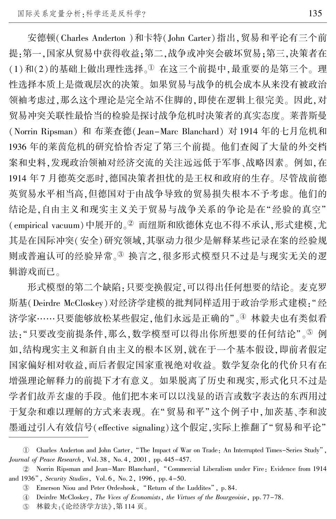安德顿(Charles Anderton )和卡特(John Carter)指出,贸易和平论有三个前 提:第一,国家从贸易中获得收益;第二,战争或冲突会破坏贸易;第三,决策者在 (1)和(2)的基础上做出理性选择。<sup>1</sup> 在这三个前提中,最重要的是第三个。理 性选择本质上是微观层次的决策。 如果贸易与战争的机会成本从来没有被政治 领袖考虑过,那么这个理论是完全站不住脚的,即使在逻辑上很完美。 因此,对 贸易冲突关联性最恰当的检验是探讨战争危机时决策者的真实态度。 莱普斯曼 (Norrin Ripsman) 和 布莱查德(Jean-Marc Blanchard) 对 1914 年的七月危机和 1936 年的莱茵危机的研究恰恰否定了第三个前提。 他们查阅了大量的外交档 案和史料,发现政治领袖对经济交流的关注远远低于军事、战略因素。 例如,在 1914 年 7 月德英交恶时,德国决策者担忧的是王权和政府的生存。 尽管战前德 英贸易水平相当高,但德国对于由战争导致的贸易损失根本不予考虑。 他们的 结论是,自由主义和现实主义关于贸易与战争关系的争论是在"经验的真空" (empirical vacuum)中展开的。<sup>2</sup> 而纽斯和欧德休克也不得不承认,形式建模,尤 其是在国际冲突(安全)研究领域,其驱动力很少是解释某些记录在案的经验规 则或普遍认可的经验异常。3 换言之,很多形式模型只不过是与现实无关的逻 辑游戏而已。

形式模型的第二个缺陷:只要变换假定,可以得出任何想要的结论。 麦克罗 斯基(Deirdre McCloskey)对经济学建模的批判同样适用于政治学形式建模:"经 济学家……只要能够放松某些假定,他们永远是正确的"。④ 林毅夫也有类似看 法: "只要改变前提条件,那么,数学模型可以得出你所想要的任何结论"。<sup>5</sup> 例 如,结构现实主义和新自由主义的根本区别,就在于一个基本假设,即前者假定 国家偏好相对收益,而后者假定国家重视绝对收益。 数学复杂化的代价只有在 增强理论解释力的前提下才有意义。 如果脱离了历史和现实,形式化只不过是 学者们故弄玄虚的手段。 他们把本来可以以浅显的语言或数字表达的东西用过 于复杂和难以理解的方式来表现。在"贸易和平"这个例子中,加茨基、李和波 墨通过引入有效信号(effective signaling)这个假定,实际上推翻了"贸易和平论"

w Charles Anderton and John Carter, "The Impact of War on Trade: An Interrupted Times-Series Study", Journal of Peace Research, Vol. 38, No. 4, 2001, pp. 445-457.

于 Norrin Ripsman and Jean-Marc Blanchard, "Commercial Liberalism under Fire: Evidence from 1914 and 1936", Security Studies, Vol. 6, No. 2, 1996, pp. 4-50.

<sup>(3)</sup> Emerson Niou and Peter Ordeshook, "Return of the Luddites", p. 84.

榆 Deirdre McCloskey, The Vices of Economists, the Virtues of the Bourgeoisie, pp. 77-78.

虞 林毅夫:《论经济学方法》,第 114 页。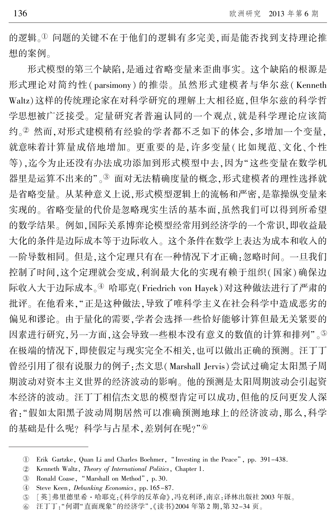的逻辑。1 问题的关键不在于他们的逻辑有多完美,而是能否找到支持理论推 想的案例。

形式模型的第三个缺陷,是通过省略变量来歪曲事实。 这个缺陷的根源是 形式理论对简约性( parsimony) 的推崇。 虽然形式建模者与华尔兹( Kenneth Waltz)这样的传统理论家在对科学研究的理解上大相径庭,但华尔兹的科学哲 学思想被广泛接受。 定量研究者普遍认同的一个观点,就是科学理论应该简 约。2 然而,对形式建模稍有经验的学者都不乏如下的体会,多增加一个变量, 就意味着计算量成倍地增加。 更重要的是,许多变量(比如规范、文化、个性 等),迄今为止还没有办法成功添加到形式模型中去,因为"这些变量在数学机 器里是运算不出来的"。3 面对无法精确度量的概念,形式建模者的理性选择就 是省略变量。 从某种意义上说,形式模型逻辑上的流畅和严密,是靠操纵变量来 实现的。 省略变量的代价是忽略现实生活的基本面,虽然我们可以得到所希望 的数学结果。 例如,国际关系博弈论模型经常用到经济学的一个常识,即收益最 大化的条件是边际成本等于边际收入。 这个条件在数学上表达为成本和收入的 一阶导数相同。 但是,这个定理只有在一种情况下才正确:忽略时间。 一旦我们 控制了时间,这个定理就会变成,利润最大化的实现有赖于组织(国家)确保边 际收入大于边际成本。4 哈耶克(Friedrich von Hayek)对这种做法进行了严肃的 批评。 在他看来,"正是这种做法,导致了唯科学主义在社会科学中造成恶劣的 偏见和谬论。 由于量化的需要,学者会选择一些恰好能够计算但最无关紧要的 因素进行研究,另一方面,这会导致一些根本没有意义的数值的计算和排列"。 在极端的情况下,即使假定与现实完全不相关,也可以做出正确的预测。 汪丁丁 曾经引用了很有说服力的例子:杰文思(Marshall Jervis)尝试过确定太阳黑子周 期波动对资本主义世界的经济波动的影响。 他的预测是太阳周期波动会引起资 本经济的波动。 汪丁丁相信杰文思的模型肯定可以成功,但他的反问更发人深 省:"假如太阳黑子波动周期居然可以准确预测地球上的经济波动,那么,科学 的基础是什么呢? 科学与占星术,差别何在呢?"6

U Erik Gartzke, Quan Li and Charles Boehmer, "Investing in the Peace", pp. 391–438.

 $(2)$ Kenneth Waltz, Theory of International Politics, Chapter 1.

盂 Ronald Coase, "Marshall on Method", p. 30.

榆 Steve Keen, Debunking Economics, pp. 165-87.

 $(5)$ [英]弗里德里希·哈耶克:《科学的反革命》,冯克利译,南京:译林出版社 2003 年版。

 $\circledcirc$ 汪丁丁: "何谓"直面现象"的经济学",《读书》2004年第 2 期,第 32-34 页。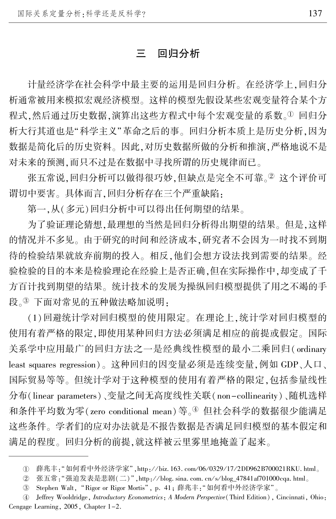#### 三 回归分析

计量经济学在社会科学中最主要的运用是回归分析。 在经济学上,回归分 析通常被用来模拟宏观经济模型。 这样的模型先假设某些宏观变量符合某个方 程式,然后通过历史数据,演算出这些方程式中每个宏观变量的系数。1回归分 析大行其道也是"科学主义"革命之后的事。回归分析本质上是历史分析,因为 数据是简化后的历史资料。 因此,对历史数据所做的分析和推演,严格地说不是 对未来的预测,而只不过是在数据中寻找所谓的历史规律而已。

张五常说,回归分析可以做得很巧妙,但缺点是完全不可靠。2 这个评价可 谓切中要害。 具体而言,回归分析存在三个严重缺陷:

第一,从(多元)回归分析中可以得出任何期望的结果。

为了验证理论猜想,最理想的当然是回归分析得出期望的结果。 但是,这样 的情况并不多见。 由于研究的时间和经济成本,研究者不会因为一时找不到期 待的检验结果就放弃前期的投入。 相反,他们会想方设法找到需要的结果。 经 验检验的目的本来是检验理论在经验上是否正确,但在实际操作中,却变成了千 方百计找到期望的结果。 统计技术的发展为操纵回归模型提供了用之不竭的手 段。3 下面对常见的五种做法略加说明:

(1)回避统计学对回归模型的使用限定。 在理论上,统计学对回归模型的 使用有着严格的限定,即使用某种回归方法必须满足相应的前提或假定。 国际 关系学中应用最广的回归方法之一是经典线性模型的最小二乘回归( ordinary least squares regression)。 这种回归的因变量必须是连续变量,例如 GDP、人口、 国际贸易等等。 但统计学对于这种模型的使用有着严格的限定,包括参量线性 分布(linear parameters)、变量之间无高度线性关联( non-collinearity)、随机选样 和条件平均数为零(zero conditional mean)等。4 但社会科学的数据很少能满足 这些条件。 学者们的应对办法就是不报告数据是否满足回归模型的基本假定和 满足的程度。 回归分析的前提,就这样被云里雾里地掩盖了起来。

① 薛兆丰:"如何看中外经济学家",http://biz.163.com/06/0329/17/2DD962B700021RKU.html。

 $(2)$ 张五常: "强迫发表是悲剧(二)",http://blog. sina. com. cn/s/blog\_47841af701000cqa. html。

③ Stephen Walt," Rigor or Rigor Mortis", p. 41; 薛兆丰:"如何看中外经济学家"。

榆 Jeffrey Wooldridge, Introductory Econometrics: A Modern Perspective(Third Edition), Cincinnati, Ohio: Cengage Learning, 2005, Chapter 1-2.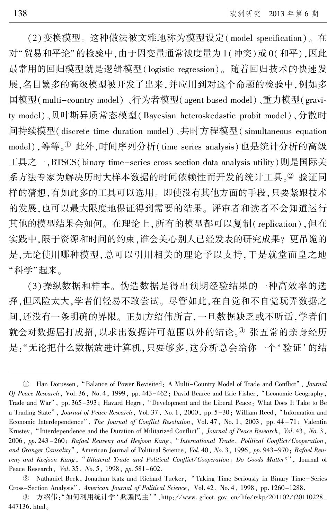(2)变换模型。 这种做法被文雅地称为模型设定(model specification)。 在 对"贸易和平论"的检验中,由于因变量通常被度量为1(冲突)或 0(和平),因此 最常用的回归模型就是逻辑模型(logistic regression)。 随着回归技术的快速发 展,名目繁多的高级模型被开发了出来,并应用到对这个命题的检验中,例如多 国模型(multi-country model)、行为者模型(agent based model)、重力模型(gravity model)、贝叶斯异质常态模型(Bayesian heteroskedastic probit model)、分散时 间持续模型(discrete time duration model)、共时方程模型( simultaneous equation model),等等。<sup>1</sup> 此外,时间序列分析(time series analysis)也是统计分析的高级 工具之一,BTSCS(binary time-series cross section data analysis utility)则是国际关 系方法专家为解决历时大样本数据的时间依赖性而开发的统计工具。2 验证同 样的猜想,有如此多的工具可以选用。 即使没有其他方面的手段,只要紧跟技术 的发展,也可以最大限度地保证得到需要的结果。 评审者和读者不会知道运行 其他的模型结果会如何。 在理论上,所有的模型都可以复制( replication),但在 实践中,限于资源和时间的约束,谁会关心别人已经发表的研究成果? 更吊诡的 是,无论使用哪种模型,总可以引用相关的理论予以支持,于是就堂而皇之地 "科学"起来。

(3)操纵数据和样本。 伪造数据是得出预期经验结果的一种高效率的选 择,但风险太大,学者们轻易不敢尝试。 尽管如此,在自觉和不自觉玩弄数据之 间,还没有一条明确的界限。 正如方绍伟所言,一旦数据缺乏或不听话,学者们 就会对数据屈打成招,以求出数据许可范围以外的结论。3 张五常的亲身经历 是: "无论把什么数据放进计算机,只要够多,这分析总会给你一个'验证'的结

① Han Dorussen, "Balance of Power Revisited: A Multi-Country Model of Trade and Conflict", *Journal* Of Peace Research, Vol. 36, No. 4, 1999, pp. 443-462; David Bearce and Eric Fisher, "Economic Geography, Trade and War", pp. 365-393; Havard Hegre, "Development and the Liberal Peace: What Does It Take to Be a Trading State", Journal of Peace Research, Vol. 37, No. 1, 2000, pp. 5-30; William Reed, "Information and Economic Interdependence", The Journal of Conflict Resolution, Vol. 47, No. 1, 2003, pp. 44-71; Valentin Krustev, "Interdependence and the Duration of Militarized Conflict", Journal of Peace Research, Vol. 43, No. 3, 2006, pp. 243 -260; Rafael Reuveny and Heejoon Kang, " International Trade, Political Conflict / Cooperation, and Granger Causality", American Journal of Political Science, Vol. 40, No. 3, 1996, pp. 943-970; Rafael Reuveny and Keejoon Kang, "Bilateral Trade and Political Conflict/Cooperation: Do Goods Matter?", Journal of Peace Research, *Vol.* 35, *No.* 5, 1998, *pp.* 581-602.

于 Nathaniel Beck, Jonathan Katz and Richard Tucker, " Taking Time Seriously in Binary Time-Series Cross-Section Analysis", American Journal of Political Science, Vol. 42, No. 4, 1998, pp. 1260-1288.

③ 方绍伟:"如何利用统计学' 欺骗民主' " ,http://www. gdcct. gov. cn/life/rskp/201102/t20110228\_ 447136. html。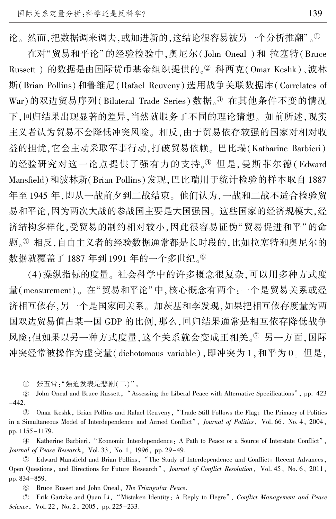论。然而,把数据调来调去,或加进新的,这结论很容易被另一个分析推翻"。1

在对"贸易和平论"的经验检验中,奥尼尔( John Oneal ) 和 拉塞特( Bruce Russett ) 的数据是由国际货币基金组织提供的。<sup>2</sup> 科西克(Omar Keshk)、波林 斯(Brian Pollins)和鲁维尼(Rafael Reuveny)选用战争关联数据库(Correlates of War)的双边贸易序列(Bilateral Trade Series) 数据。3 在其他条件不变的情况 下,回归结果出现显著的差异,当然就服务了不同的理论猜想。 如前所述,现实 主义者认为贸易不会降低冲突风险。 相反,由于贸易依存较强的国家对相对收 益的担忧,它会主动采取军事行动,打破贸易依赖。 巴比瑞(Katharine Barbieri) 的经验研究对这一论点提供了强有力的支持。4 但是,曼斯菲尔德(Edward Mansfield)和波林斯(Brian Pollins)发现,巴比瑞用于统计检验的样本取自 1887 年至 1945 年,即从一战前夕到二战结束。 他们认为,一战和二战不适合检验贸 易和平论,因为两次大战的参战国主要是大国强国。 这些国家的经济规模大,经 济结构多样化,受贸易的制约相对较小,因此很容易证伪"贸易促进和平"的命 题。5 相反,自由主义者的经验数据通常都是长时段的,比如拉塞特和奥尼尔的 数据就覆盖了1887年到1991年的一个多世纪。

(4)操纵指标的度量。 社会科学中的许多概念很复杂,可以用多种方式度 量(measurement)。在"贸易和平论"中,核心概念有两个:一个是贸易关系或经 济相互依存,另一个是国家间关系。 加茨基和李发现,如果把相互依存度量为两 国双边贸易值占某一国 GDP 的比例,那么,回归结果通常是相互依存降低战争 风险;但如果以另一种方式度量,这个关系就会变成正相关。②另一方面,国际 冲突经常被操作为虚变量(dichotomous variable),即冲突为 1,和平为 0。 但是,

愚 Bruce Russet and John Oneal, The Triangular Peace.

 $\textcircled{2}$  Erik Gartzke and Quan Li, "Mistaken Identity: A Reply to Hegre", Conflict Management and Peace Science, Vol. 22, No. 2, 2005, pp. 225-233.

 $\mathbb{O}^-$ 张五常: "强迫发表是悲剧(二)"。

 $(2)$ John Oneal and Bruce Russett, "Assessing the Liberal Peace with Alternative Specifications", pp. 423  $-442.$ 

盂 Omar Keshk, Brian Pollins and Rafael Reuveny, "Trade Still Follows the Flag: The Primacy of Politics in a Simultaneous Model of Interdependence and Armed Conflict", Journal of Politics, Vol. 66, No. 4, 2004, pp. 1155-1179.

榆 Katherine Barbieri, "Economic Interdependence: A Path to Peace or a Source of Interstate Conflict", Journal of Peace Research, Vol. 33, No. 1, 1996, pp. 29-49.

虞 Edward Mansfield and Brian Pollins, "The Study of Interdependence and Conflict: Recent Advances, Open Questions, and Directions for Future Research", Journal of Conflict Resolution, Vol. 45, No. 6, 2011, pp. 834-859.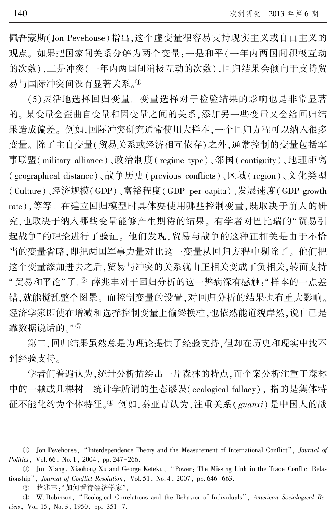佩吾豪斯(Jon Pevehouse)指出,这个虚变量很容易支持现实主义或自由主义的 观点。 如果把国家间关系分解为两个变量:一是和平(一年内两国间积极互动 的次数),二是冲突(一年内两国间消极互动的次数),回归结果会倾向于支持贸 易与国际冲突间没有显著关系。1

(5)灵活地选择回归变量。 变量选择对于检验结果的影响也是非常显著 的。 某变量会歪曲自变量和因变量之间的关系,添加另一些变量又会给回归结 果造成偏差。 例如,国际冲突研究通常使用大样本,一个回归方程可以纳入很多 变量。 除了主自变量(贸易关系或经济相互依存)之外,通常控制的变量包括军 事联盟(military alliance)、政治制度( regime type)、邻国( contiguity)、地理距离 (geographical distance)、战争历史( previous conflicts)、区域( region)、文化类型 (Culture)、经济规模(GDP)、富裕程度(GDP per capita)、发展速度(GDP growth rate),等等。 在建立回归模型时具体要使用哪些控制变量,既取决于前人的研 究,也取决于纳入哪些变量能够产生期待的结果。 有学者对巴比瑞的"贸易引 起战争"的理论进行了验证。 他们发现,贸易与战争的这种正相关是由于不恰 当的变量省略,即把两国军事力量对比这一变量从回归方程中剔除了。 他们把 这个变量添加进去之后,贸易与冲突的关系就由正相关变成了负相关,转而支持 "贸易和平论"了。2 薛兆丰对于回归分析的这一弊病深有感触:"样本的一点差 错,就能搅乱整个图景。 而控制变量的设置,对回归分析的结果也有重大影响。 经济学家即使在增减和选择控制变量上偷梁换柱,也依然能道貌岸然,说自己是 靠数据说话的。"3

第二,回归结果虽然总是为理论提供了经验支持,但却在历史和现实中找不 到经验支持。

学者们普遍认为,统计分析描绘出一片森林的特点,而个案分析注重于森林 中的一颗或几棵树。 统计学所谓的生态谬误(ecological fallacy), 指的是集体特 征不能化约为个体特征。 $\Phi$  例如,秦亚青认为,注重关系( guanxi)是中国人的战

<sup>1</sup> Jon Pevehouse, "Interdependence Theory and the Measurement of International Conflict", Journal of Politics, Vol. 66, No. 1, 2004, pp. 247-266.

<sup>2</sup> Jun Xiang, Xiaohong Xu and George Keteku, "Power: The Missing Link in the Trade Conflict Relationship", Journal of Conflict Resolution, Vol. 51, No. 4, 2007, pp. 646-663.

盂 薛兆丰:"如何看待经济学家"。

<sup>4</sup> W. Robinson, "Ecological Correlations and the Behavior of Individuals", American Sociological Review, Vol. 15, No. 3, 1950, pp. 351-7.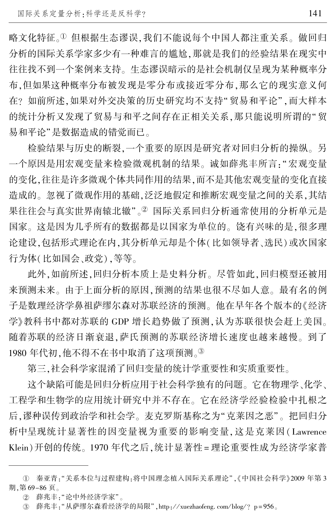略文化特征。① 但根据生态谬误,我们不能说每个中国人都注重关系。 做回归 分析的国际关系学家多少有一种难言的尴尬,那就是我们的经验结果在现实中 往往找不到一个案例来支持。 生态谬误暗示的是社会机制仅呈现为某种概率分 布,但如果这种概率分布被发现是零分布或接近零分布,那么它的现实意义何 在? 如前所述,如果对外交决策的历史研究均不支持"贸易和平论",而大样本 的统计分析又发现了贸易与和平之间存在正相关关系,那只能说明所谓的"贸 易和平论"是数据造成的错觉而已。

检验结果与历史的断裂,一个重要的原因是研究者对回归分析的操纵。 另 一个原因是用宏观变量来检验微观机制的结果。 诚如薛兆丰所言:"宏观变量 的变化,往往是许多微观个体共同作用的结果,而不是其他宏观变量的变化直接 造成的。 忽视了微观作用的基础,泛泛地假定和推断宏观变量之间的关系,其结 果往往会与真实世界南辕北辙"。2 国际关系回归分析通常使用的分析单元是 国家。 这是因为几乎所有的数据都是以国家为单位的。 饶有兴味的是,很多理 论建设,包括形式理论在内,其分析单元却是个体(比如领导者、选民)或次国家 行为体(比如国会、政党),等等。

此外,如前所述,回归分析本质上是史料分析。 尽管如此,回归模型还被用 来预测未来。 由于上面分析的原因,预测的结果也很不尽如人意。 最有名的例 子是数理经济学鼻祖萨缪尔森对苏联经济的预测。 他在早年各个版本的《经济 学》教科书中都对苏联的 GDP 增长趋势做了预测,认为苏联很快会赶上美国。 随着苏联的经济日渐衰退,萨氏预测的苏联经济增长速度也越来越慢。 到了 1980年代初,他不得不在书中取消了这项预测。3

第三,社会科学家混淆了回归变量的统计学重要性和实质重要性。

这个缺陷可能是回归分析应用于社会科学独有的问题。 它在物理学、化学、 工程学和生物学的应用统计研究中并不存在。 它在经济学经验检验中扎根之 后,谬种误传到政治学和社会学。麦克罗斯基称之为"克莱因之恶"。 把回归分 析中呈现统计显著性的因变量视为重要的影响变量,这是克莱因( Lawrence Klein)开创的传统。 1970 年代之后,统计显著性 = 理论重要性成为经济学家普

① 秦亚青:"关系本位与过程建构:将中国理念植入国际关系理论",《中国社会科学》2009 年第 3 期,第 69-86 页。

 $(2)$ 薛兆丰: "论中外经济学家"。

③ 薛兆丰:"从萨缪尔森看经济学的局限",http://xuezhaofeng.com/blog/?p=956。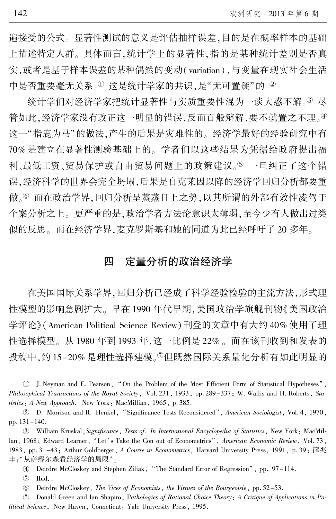遍接受的公式。 显著性测试的意义是评估抽样误差,目的是在概率样本的基础 上描述特定人群。 具体而言,统计学上的显著性,指的是某种统计差别是否真 实,或者是基于样本误差的某种偶然的变动(variation),与变量在现实社会生活 中是否重要毫无关系。1这是统计学家的共识,是"无可置疑"的。2

统计学们对经济学家把统计显著性与实质重要性混为一谈大惑不解。3 尽 管如此,经济学家没有改正这一明显的错误,反而百般辩解,要不就置之不理。4 这一"指鹿为马"的做法,产生的后果是灾难性的。经济学最好的经验研究中有 70% 是建立在显著性测验基础上的。 学者们以这些结果为凭据给政府提出福 利、最低工资、贸易保护或自由贸易问题上的政策建议。⑤ 一旦纠正了这个错 误,经济科学的世界会完全坍塌,后果是自克莱因以降的经济学回归分析都要重 做。⑥ 而在政治学界,回归分析呈蒸蒸日上之势,以其所谓的外部有效性凌驾于 个案分析之上。 更严重的是,政治学者方法论意识太薄弱,至今少有人做出过类 似的反思。 而在经济学界,麦克罗斯基和她的同道为此已经呼吁了 20 多年。

# 四 定量分析的政治经济学

在美国国际关系学界,回归分析已经成了科学经验检验的主流方法,形式理 性模型的影响急剧扩大。 早在 1990 年代早期,美国政治学旗舰刊物《美国政治 学评论》(American Political Science Review)刊登的文章中有大约 40% 使用了理 性选择模型。 从 1980 年到 1993 年,这一比例是 22% 。 而在该刊收到和发表的 投稿中,约 15-20% 是理性选择建模。<sup>⑦</sup>但既然国际关系量化分析有如此明显的

J. Neyman and E. Pearson, "On the Problem of the Most Efficient Form of Statistical Hypotheses", Philosophical Transactions of the Royal Society, Vol. 231, 1933, pp. 289-337; W. Wallis and H. Roberts, Statistics: A New Approach. New York: MacMillian, 1965, p. 385.

<sup>2</sup> D. Morrison and R. Henkel, "Significance Tests Reconsidered", American Sociologist, Vol. 4, 1970, pp. 131-140.

<sup>3</sup> William Kruskal, Significance, Tests of. In International Encyclopedia of Statistics, New York: MacMillan, 1968; Edward Learner, "Let's Take the Con out of Econometrics", American Economic Review, Vol. 73, 1983, pp. 31-43; Arthur Goldberger, A Course in Econometrics, Harvard University Press, 1991, p. 39; 薛兆 丰: "从萨缪尔森看经济学的局限"。

<sup>(4)</sup> Deirdre McCloskey and Stephen Ziliak, "The Standard Error of Regression", pp. 97–114.

 $(5)$ Ibid. .

愚 Deirdre McCloskey, The Vices of Economists, the Virtues of the Bourgeoisie, pp. 52-53.

 $\circled{2}$  Donald Green and Ian Shapiro, Pathologies of Rational Choice Theory: A Critique of Applications in Political Science, New Haven, Conneticut: Yale University Press, 1995.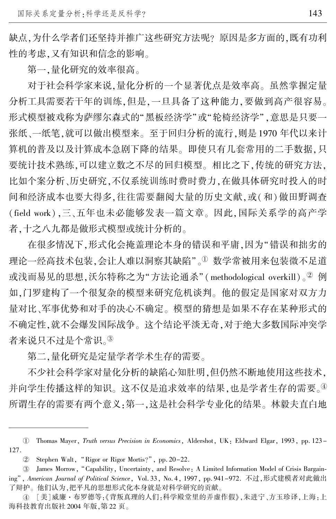缺点,为什么学者们还坚持并推广这些研究方法呢? 原因是多方面的,既有功利 性的考虑,又有知识和信念的影响。

第一,量化研究的效率很高。

对于社会科学家来说,量化分析的一个显著优点是效率高。 虽然掌握定量 分析工具需要若干年的训练,但是,一旦具备了这种能力,要做到高产很容易。 形式模型被戏称为萨缪尔森式的"黑板经济学"或"轮椅经济学",意思是只要一 张纸、一纸笔,就可以做出模型来。 至于回归分析的流行,则是 1970 年代以来计 算机的普及以及计算成本急剧下降的结果。 即使只有几套常用的二手数据,只 要统计技术熟练,可以建立数之不尽的回归模型。 相比之下,传统的研究方法, 比如个案分析、历史研究,不仅系统训练时费时费力,在做具体研究时投入的时 间和经济成本也要大得多,往往需要翻阅大量的历史文献,或(和)做田野调查 (field work),三、五年也未必能够发表一篇文章。 因此,国际关系学的高产学 者,十之八九都是做形式模型或统计分析的。

在很多情况下,形式化会掩盖理论本身的错误和平庸,因为"错误和拙劣的 理论一经高技术包装,会让人难以洞察其缺陷"。1数学常被用来包装微不足道 或浅而易见的思想,沃尔特称之为"方法论通杀" (methodological overkill)。2 例 如,门罗建构了一个很复杂的模型来研究危机谈判。 他的假定是国家对双方力 量对比、军事优势和对手的决心不确定。 模型的猜想是如果不存在某种形式的 不确定性,就不会爆发国际战争。 这个结论平淡无奇,对于绝大多数国际冲突学 者来说只不过是个常识。3

第二,量化研究是定量学者学术生存的需要。

不少社会科学家对量化分析的缺陷心知肚明,但仍然不断地使用这些技术, 并向学生传播这样的知识。这不仅是追求效率的结果,也是学者生存的需要。4 所谓生存的需要有两个意义:第一,这是社会科学专业化的结果。 林毅夫直白地

淤 Thomas Mayer, Truth versus Precision in Economics, Aldershot, UK: Eldward Elgar, 1993, pp. 123- 127.

<sup>(2)</sup> Stephen Walt, "Rigor or Rigor Mortis?", pp. 20–22.

<sup>3</sup> James Morrow, "Capability, Uncertainty, and Resolve: A Limited Information Model of Crisis Bargaining", American Journal of Political Science, Vol. 33, No. 4, 1997, pp. 941-972. 不过,形式建模者对此做出 了辩护。 他们认为,把平凡的思想形式化本身就是对科学研究的贡献。

④ [美]威廉·布罗德等:《背叛真理的人们:科学殿堂里的弄虚作假》,朱进宁、方玉珍译,上海:上 海科技教育出版社 2004 年版,第 22 页。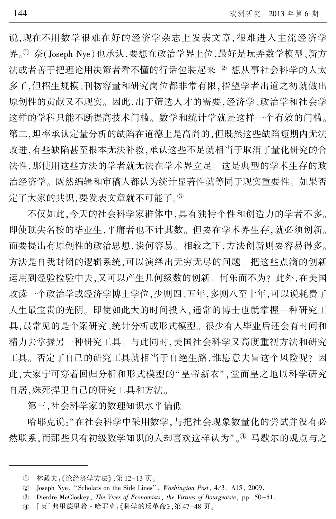说,现在不用数学很难在好的经济学杂志上发表文章,很难进入主流经济学 界。<sup>①</sup> 奈(Joseph Nye)也承认,要想在政治学界上位,最好是玩弄数学模型、新方 法或者善于把理论用决策者看不懂的行话包装起来。2 想从事社会科学的人太 多了,但招生规模、刊物容量和研究岗位都非常有限,指望学者出道之初就做出 原创性的贡献又不现实。 因此,出于筛选人才的需要,经济学、政治学和社会学 这样的学科只能不断提高技术门槛。 数学和统计学就是这样一个有效的门槛。 第二,坦率承认定量分析的缺陷在道德上是高尚的,但既然这些缺陷短期内无法 改进,有些缺陷甚至根本无法补救,承认这些不足就相当于取消了量化研究的合 法性,那使用这些方法的学者就无法在学术界立足。 这是典型的学术生存的政 治经济学。 既然编辑和审稿人都认为统计显著性就等同于现实重要性。 如果否 定了大家的共识,要发表文章就不可能了。③

不仅如此,今天的社会科学家群体中,具有独特个性和创造力的学者不多。 即使顶尖名校的毕业生,平庸者也不计其数。 但要在学术界生存,就必须创新。 而要提出有原创性的政治思想,谈何容易。 相较之下,方法创新则要容易得多。 方法是自我封闭的逻辑系统,可以演绎出无穷无尽的问题。 把这些点滴的创新 运用到经验检验中去,又可以产生几何级数的创新。 何乐而不为? 此外,在美国 攻读一个政治学或经济学博士学位,少则四、五年,多则八至十年,可以说耗费了 人生最宝贵的光阴。 即使如此大的时间投入,通常的博士也就掌握一种研究工 具,最常见的是个案研究、统计分析或形式模型。 很少有人毕业后还会有时间和 精力去掌握另一种研究工具。 与此同时,美国社会科学又高度重视方法和研究 工具。 否定了自己的研究工具就相当于自绝生路,谁愿意去冒这个风险呢? 因 此,大家宁可穿着回归分析和形式模型的"皇帝新衣",堂而皇之地以科学研究 自居,殊死捍卫自己的研究工具和方法。

第三,社会科学家的数理知识水平偏低。

哈耶克说:"在社会科学中采用数学,与把社会现象数量化的尝试并没有必 然联系,而那些只有初级数学知识的人却喜欢这样认为"。④ 马歇尔的观点与之

淤 林毅夫:《论经济学方法》,第 12-13 页。

 $(2)$ Joseph Nye, "Scholars on the Side Lines", Washington Post, 4/3, A15, 2009.

盂 Dierdre McCloskey, The Vices of Economists, the Virtues of Bourgeoisie, pp. 50-51.

榆 [英]弗里德里希·哈耶克:《科学的反革命》,第 47-48 页。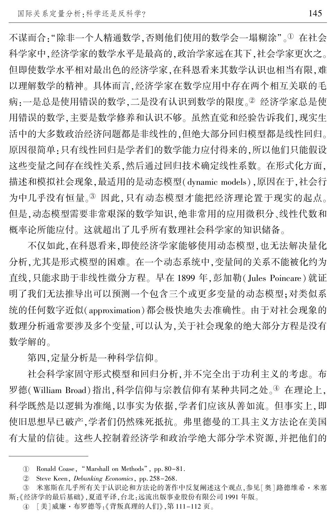不谋而合: "除非一个人精通数学, 否则他们使用的数学会一塌糊涂"。<sup>①</sup> 在社会 科学家中,经济学家的数学水平是最高的,政治学家远在其下,社会学家更次之。 但即使数学水平相对最出色的经济学家,在科恩看来其数学认识也相当有限,难 以理解数学的精神。 具体而言,经济学家在数学应用中存在两个相互关联的毛 病:一是总是使用错误的数学,二是没有认识到数学的限度。 经济学家总是使 用错误的数学,主要是数学修养和认识不够。 虽然直觉和经验告诉我们,现实生 活中的大多数政治经济问题都是非线性的,但绝大部分回归模型都是线性回归。 原因很简单:只有线性回归是学者们的数学能力应付得来的,所以他们只能假设 这些变量之间存在线性关系,然后通过回归技术确定线性系数。 在形式化方面, 描述和模拟社会现象,最适用的是动态模型(dynamic models),原因在于,社会行 为中几乎没有恒量。3 因此,只有动态模型才能把经济理论置于现实的起点。 但是,动态模型需要非常艰深的数学知识,绝非常用的应用微积分、线性代数和 概率论所能应付。 这就超出了几乎所有数理社会科学家的知识储备。

不仅如此,在科恩看来,即使经济学家能够使用动态模型,也无法解决量化 分析,尤其是形式模型的困难。 在一个动态系统中,变量间的关系不能被化约为 直线,只能求助于非线性微分方程。 早在 1899 年,彭加勒( Jules Poincare)就证 明了我们无法推导出可以预测一个包含三个或更多变量的动态模型;对类似系 统的任何数字近似(approximation)都会极快地失去准确性。 由于对社会现象的 数理分析通常要涉及多个变量,可以认为,关于社会现象的绝大部分方程是没有 数学解的。

第四,定量分析是一种科学信仰。

社会科学家固守形式模型和回归分析,并不完全出于功利主义的考虑。 布 罗德(William Broad)指出,科学信仰与宗教信仰有某种共同之处。4 在理论上, 科学既然是以逻辑为准绳,以事实为依据,学者们应该从善如流。 但事实上,即 使旧思想早已破产,学者们仍然殊死抵抗。 弗里德曼的工具主义方法论在美国 有大量的信徒。 这些人控制着经济学和政治学绝大部分学术资源,并把他们的

U Ronald Coase, "Marshall on Methods", pp. 80–81.

 $(2)$ Steve Keen, Debunking Economics, pp. 258-268.

盂 米塞斯在几乎所有关于认识论和方法论的著作中反复阐述这个观点,参见[奥]路德维希·米塞 斯:《经济学的最后基础》,夏道平译,台北:远流出版事业股份有限公司 1991 年版。

④ [美]威廉・布罗德等:《背叛真理的人们》,第 111–112 页。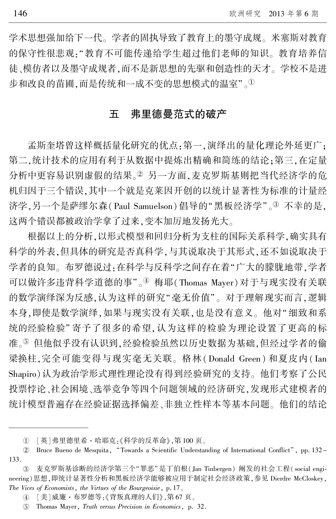学术思想强加给下一代。 学者的固执导致了教育上的墨守成规。 米塞斯对教育 的保守性很悲观:"教育不可能传递给学生超过他们老师的知识。 教育培养信 徒、模仿者以及墨守成规者,而不是新思想的先驱和创造性的天才。 学校不是进 步和改良的苗圃,而是传统和一成不变的思想模式的温室"。<sup>1</sup>

## 五 弗里德曼范式的破产

孟斯奎塔曾这样概括量化研究的优点:第一,演绎出的量化理论外延更广; 第二,统计技术的应用有利于从数据中提炼出精确和简练的结论;第三,在定量 分析中更容易识别虚假的结果。2 另一方面,麦克罗斯基则把当代经济学的危 机归因于三个错误,其中一个就是克莱因开创的以统计显著性为标准的计量经 济学,另一个是萨缪尔森(Paul Samuelson)倡导的"黑板经济学"。<sup>3</sup> 不幸的是, 这两个错误都被政治学拿了过来,变本加厉地发扬光大。

根据以上的分析,以形式模型和回归分析为支柱的国际关系科学,确实具有 科学的外表,但具体的研究是否真科学,与其说取决于其形式,还不如说取决于 学者的良知。 布罗德说过:在科学与反科学之间存在着"广大的朦胧地带,学者 可以做许多违背科学道德的事"。4 梅耶(Thomas Mayer)对于与现实没有关联 的数学演绎深为反感,认为这样的研究"毫无价值"。对于理解现实而言,逻辑 本身,即使是数学演绎,如果与现实没有关联,也是没有意义。 他对"细致和系 统的经验检验"寄予了很多的希望,认为这样的检验为理论设置了更高的标 准。⑤ 但他似乎没有认识到,经验检验虽然以历史数据为基础,但经过学者的偷 梁换柱,完全可能变得与现实毫无关联。 格林(Donald Green) 和夏皮内( Ian Shapiro)认为政治学形式理性理论没有得到经验研究的支持。 他们考察了公民 投票悖论、社会困境、选举竞争等四个问题领域的经济研究,发现形式建模者的 统计模型普遍存在经验证据选择偏差、非独立性样本等基本问题。 他们的结论

淤 [英]弗里德里希·哈耶克:《科学的反革命》,第 100 页。

<sup>2</sup> Bruce Bueno de Mesquita, "Towards a Scientific Understanding of International Conflict", pp. 132 133.

盂 麦克罗斯基诊断的经济学第三个"罪恶"是丁伯根(Jan Tinbergen) 阐发的社会工程( social engineering)思想,即统计显著性分析和黑板经济学能够被应用于制定社会经济政策,参见 Dierdre McCloskey, The Vices of Economists, the Virtues of the Bourgeoisie, p. 17.

榆 [美]威廉·布罗德等:《背叛真理的人们》,第 67 页。

虞 Thomas Mayer, Truth versus Precision in Economics, p. 32.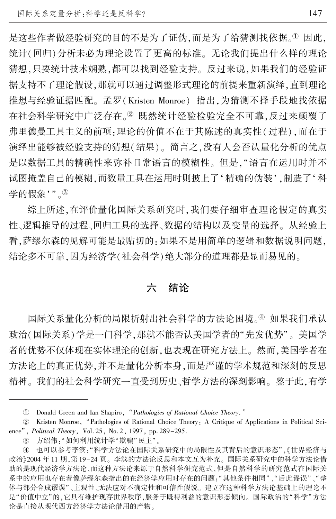是这些作者做经验研究的目的不是为了证伪,而是为了给猜测找依据。1因此, 统计(回归)分析未必为理论设置了更高的标准。 无论我们提出什么样的理论 猜想,只要统计技术娴熟,都可以找到经验支持。 反过来说,如果我们的经验证 据支持不了理论假设,那就可以通过调整形式理论的前提来重新演绎,直到理论 推想与经验证据匹配。 孟罗(Kristen Monroe) 指出,为猜测不择手段地找依据 在社会科学研究中广泛存在。2 既然统计经验检验完全不可靠,反过来颠覆了 弗里德曼工具主义的前项:理论的价值不在于其陈述的真实性(过程),而在于 演绎出能够被经验支持的猜想(结果)。 简言之,没有人会否认量化分析的优点 是以数据工具的精确性来弥补日常语言的模糊性。 但是,"语言在运用时并不 试图掩盖自己的模糊,而数量工具在运用时则披上了'精确的伪装',制造了'科 学的假象'"。3

综上所述,在评价量化国际关系研究时,我们要仔细审查理论假定的真实 性、逻辑推导的过程、回归工具的选择、数据的结构以及变量的选择。 从经验上 看,萨缪尔森的见解可能是最贴切的:如果不是用简单的逻辑和数据说明问题, 结论多不可靠,因为经济学(社会科学)绝大部分的道理都是显而易见的。

# 六 结论

国际关系量化分析的局限折射出社会科学的方法论困境。4) 如果我们承认 政治(国际关系)学是一门科学,那就不能否认美国学者的"先发优势"。 美国学 者的优势不仅体现在实体理论的创新,也表现在研究方法上。 然而,美国学者在 方法论上的真正优势,并不是量化分析本身,而是严谨的学术规范和深刻的反思 精神。 我们的社会科学研究一直受到历史、哲学方法的深刻影响。 鉴于此,有学

③ 方绍伟:"如何利用统计学"欺骗"民主"。

<sup>1</sup> Donald Green and Ian Shapiro, "Pathologies of Rational Choice Theory."

<sup>2</sup> Kristen Monroe, "Pathologies of Rational Choice Theory: A Critique of Applications in Political Science", *Political Theory*, Vol. 25, No. 2, 1997, pp. 289-295.

④ 也可以参考李滨:"科学方法论在国际关系研究中的局限性及其背后的意识形态",《世界经济与 政治》2004 年 11 期,第 19-24 页。 李滨的方法论反思和本文互为补充。 国际关系研究中的科学方法论借 助的是现代经济学方法论,而这种方法论来源于自然科学研究范式,但是自然科学的研究范式在国际关 系中的应用也存在着像萨缪尔森指出的在经济学应用时存在的问题:"其他条件相同"、"后此谬误"、"整 体与部分合成谬误"、主观性、无法应对不确定性和可信性假说。建立在这种科学方法论基础上的理论不 是"价值中立"的,它具有维护现存世界秩序,服务于既得利益的意识形态倾向。国际政治的"科学"方法 论是直接从现代西方经济学方法论借用的产物。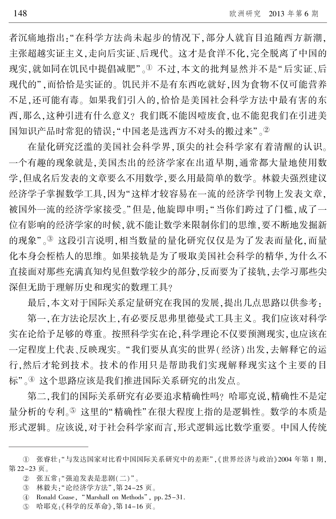者沉痛地指出:"在科学方法尚未起步的情况下,部分人就盲目追随西方新潮, 主张超越实证主义,走向后实证、后现代。 这才是食洋不化,完全脱离了中国的 现实,就如同在饥民中提倡减肥"。1 不过,本文的批判显然并不是"后实证、后 现代的",而恰恰是实证的。饥民并不是有东西吃就好,因为食物不仅可能营养 不足,还可能有毒。 如果我们引入的,恰恰是美国社会科学方法中最有害的东 西,那么,这种引进有什么意义? 我们既不能因噎废食,也不能犯我们在引进美 国知识产品时常犯的错误: "中国老是选西方不对头的搬过来"。②

在量化研究泛滥的美国社会科学界,顶尖的社会科学家有着清醒的认识。 一个有趣的现象就是,美国杰出的经济学家在出道早期,通常都大量地使用数 学,但成名后发表的文章要么不用数学,要么用最简单的数学。 林毅夫强烈建议 经济学子掌握数学工具,因为"这样才较容易在一流的经济学刊物上发表文章, 被国外一流的经济学家接受。"但是,他旋即申明:"当你们跨过了门槛,成了一 位有影响的经济学家的时候,就不能让数学来限制你们的思维,要不断地发掘新 的现象"。3 这段引言说明,相当数量的量化研究仅仅是为了发表而量化,而量 化本身会桎梏人的思维。 如果接轨是为了吸取美国社会科学的精华,为什么不 直接面对那些充满真知灼见但数学较少的部分,反而要为了接轨,去学习那些尖 深但无助于理解历史和现实的数理工具?

最后,本文对于国际关系定量研究在我国的发展,提出几点思路以供参考:

第一,在方法论层次上,有必要反思弗里德曼式工具主义。 我们应该对科学 实在论给予足够的尊重。 按照科学实在论,科学理论不仅要预测现实,也应该在 一定程度上代表、反映现实。 "我们要从真实的世界(经济)出发,去解释它的运 行,然后才轮到技术。 技术的作用只是帮助我们实现解释现实这个主要的目 标"。④ 这个思路应该是我们推进国际关系研究的出发点。

第二,我们的国际关系研究有必要追求精确性吗? 哈耶克说,精确性不是定 量分析的专利。⑤ 这里的"精确性"在很大程度上指的是逻辑性。 数学的本质是 形式逻辑。 应该说,对于社会科学家而言,形式逻辑远比数学重要。 中国人传统

① 张睿壮:"与发达国家对比看中国国际关系研究中的差距",《世界经济与政治》2004 年第 1 期, 第 22-23 页。

② 张五常:"强迫发表是悲剧(二)"。

③ 林毅夫:"论经济学方法",第 24-25 页。

榆 Ronald Coase, "Marshall on Methods", pp. 25-31.

虞 哈耶克:《科学的反革命》,第 14-16 页。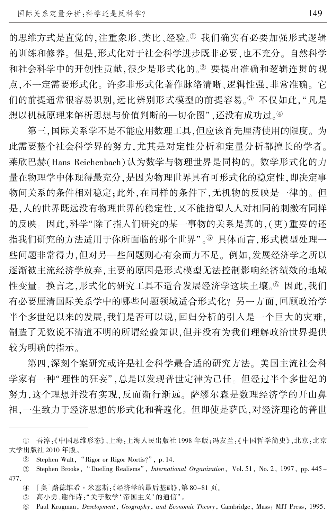的思维方式是直觉的,注重象形、类比、经验。<sup>①</sup> 我们确实有必要加强形式逻辑 的训练和修养。 但是,形式化对于社会科学进步既非必要,也不充分。 自然科学 和社会科学中的开创性贡献,很少是形式化的。2 要提出准确和逻辑连贯的观 点,不一定需要形式化。 许多非形式化著作脉络清晰、逻辑性强,非常准确。 它 们的前提通常很容易识别,远比辨别形式模型的前提容易。3 不仅如此,"凡是 想以机械原理来解析思想与价值判断的一切企图",还没有成功过。4

第三,国际关系学不是不能应用数理工具,但应该首先厘清使用的限度。 为 此需要整个社会科学界的努力,尤其是对定性分析和定量分析都擅长的学者。 莱欣巴赫(Hans Reichenbach)认为数学与物理世界是同构的。 数学形式化的力 量在物理学中体现得最充分,是因为物理世界具有可形式化的稳定性,即决定事 物间关系的条件相对稳定;此外,在同样的条件下,无机物的反映是一律的。 但 是,人的世界既远没有物理世界的稳定性,又不能指望人人对相同的刺激有同样 的反映。 因此,科学"除了指人们研究的某一事物的关系是真的,(更)重要的还 指我们研究的方法适用于你所面临的那个世界"。5) 具体而言,形式模型处理一 些问题非常得力,但对另一些问题则心有余而力不足。 例如,发展经济学之所以 逐渐被主流经济学放弃,主要的原因是形式模型无法控制影响经济绩效的地域 性变量。换言之,形式化的研究工具不适合发展经济学这块土壤。 因此,我们 有必要厘清国际关系学中的哪些问题领域适合形式化? 另一方面,回顾政治学 半个多世纪以来的发展,我们是否可以说,回归分析的引入是一个巨大的灾难, 制造了无数说不清道不明的所谓经验知识,但并没有为我们理解政治世界提供 较为明确的指示。

第四,深刻个案研究或许是社会科学最合适的研究方法。 美国主流社会科 学家有一种"理性的狂妄",总是以发现普世定律为己任。但经过半个多世纪的 努力,这个理想并没有实现,反而渐行渐远。 萨缪尔森是数理经济学的开山鼻 祖,一生致力于经济思想的形式化和普遍化。 但即使是萨氏,对经济理论的普世

① 吾淳:《中国思维形态》,上海:上海人民出版社 1998 年版;冯友兰:《中国哲学简史》,北京:北京 大学出版社 2010 年版。

 $(2)$ Stephen Walt, "Rigor or Rigor Mortis?", p. 14.

<sup>3</sup> Stephen Brooks, "Dueling Realisms", International Organization, Vol. 51, No. 2, 1997, pp. 445 -477.

榆 [奥]路德维希·米塞斯:《经济学的最后基础》,第 80-81 页。

 $(5)$ 高小勇、谢作诗: "关于数学'帝国主义'的通信"。

 $\circledcirc$ Paul Krugman, Development, Geography, and Economic Theory, Cambridge, Mass: MIT Press, 1995.